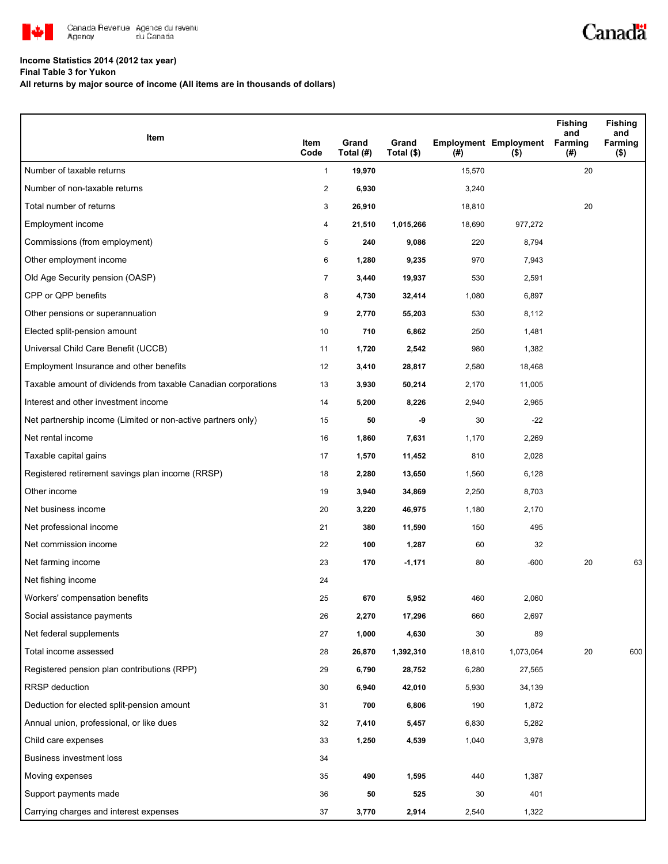

## **Income Statistics 2014 (2012 tax year)**

**Final Table 3 for Yukon**

**All returns by major source of income (All items are in thousands of dollars)**

| Item                                                           | Item                 | Grand               | Grand      |                  | <b>Employment Employment</b> | Fishing<br>and<br><b>Farming</b> | <b>Fishing</b><br>and<br>Farming |
|----------------------------------------------------------------|----------------------|---------------------|------------|------------------|------------------------------|----------------------------------|----------------------------------|
| Number of taxable returns                                      | Code<br>$\mathbf{1}$ | Total (#)<br>19,970 | Total (\$) | $($ #)<br>15,570 | $($ \$)                      | (#)<br>20                        | $($ \$)                          |
| Number of non-taxable returns                                  | $\overline{2}$       | 6,930               |            | 3,240            |                              |                                  |                                  |
| Total number of returns                                        | 3                    | 26,910              |            | 18,810           |                              | 20                               |                                  |
| Employment income                                              | 4                    | 21,510              | 1,015,266  | 18,690           | 977,272                      |                                  |                                  |
| Commissions (from employment)                                  | 5                    | 240                 | 9,086      | 220              | 8,794                        |                                  |                                  |
| Other employment income                                        | 6                    | 1,280               | 9,235      | 970              | 7,943                        |                                  |                                  |
| Old Age Security pension (OASP)                                | $\overline{7}$       | 3,440               | 19,937     | 530              | 2,591                        |                                  |                                  |
| CPP or QPP benefits                                            | 8                    | 4,730               | 32,414     | 1,080            | 6,897                        |                                  |                                  |
| Other pensions or superannuation                               | 9                    | 2,770               | 55,203     | 530              | 8,112                        |                                  |                                  |
| Elected split-pension amount                                   | 10                   | 710                 | 6,862      | 250              | 1,481                        |                                  |                                  |
| Universal Child Care Benefit (UCCB)                            | 11                   | 1,720               | 2,542      | 980              | 1,382                        |                                  |                                  |
| Employment Insurance and other benefits                        | 12                   | 3,410               | 28,817     | 2,580            | 18,468                       |                                  |                                  |
| Taxable amount of dividends from taxable Canadian corporations | 13                   | 3,930               | 50,214     | 2,170            | 11,005                       |                                  |                                  |
| Interest and other investment income                           | 14                   | 5,200               | 8,226      | 2,940            | 2,965                        |                                  |                                  |
| Net partnership income (Limited or non-active partners only)   | 15                   | 50                  | -9         | 30               | $-22$                        |                                  |                                  |
| Net rental income                                              | 16                   | 1,860               | 7,631      | 1,170            | 2,269                        |                                  |                                  |
| Taxable capital gains                                          | 17                   | 1,570               | 11,452     | 810              | 2,028                        |                                  |                                  |
| Registered retirement savings plan income (RRSP)               | 18                   | 2,280               | 13,650     | 1,560            | 6,128                        |                                  |                                  |
| Other income                                                   | 19                   | 3,940               | 34,869     | 2,250            | 8,703                        |                                  |                                  |
| Net business income                                            | 20                   | 3,220               | 46,975     | 1,180            | 2,170                        |                                  |                                  |
| Net professional income                                        | 21                   | 380                 | 11,590     | 150              | 495                          |                                  |                                  |
| Net commission income                                          | 22                   | 100                 | 1,287      | 60               | 32                           |                                  |                                  |
| Net farming income                                             | 23                   | 170                 | $-1,171$   | 80               | $-600$                       | 20                               | 63                               |
| Net fishing income                                             | 24                   |                     |            |                  |                              |                                  |                                  |
| Workers' compensation benefits                                 | 25                   | 670                 | 5,952      | 460              | 2,060                        |                                  |                                  |
| Social assistance payments                                     | 26                   | 2,270               | 17,296     | 660              | 2,697                        |                                  |                                  |
| Net federal supplements                                        | 27                   | 1,000               | 4,630      | 30               | 89                           |                                  |                                  |
| Total income assessed                                          | 28                   | 26,870              | 1,392,310  | 18,810           | 1,073,064                    | 20                               | 600                              |
| Registered pension plan contributions (RPP)                    | 29                   | 6,790               | 28,752     | 6,280            | 27,565                       |                                  |                                  |
| <b>RRSP</b> deduction                                          | 30                   | 6,940               | 42,010     | 5,930            | 34,139                       |                                  |                                  |
| Deduction for elected split-pension amount                     | 31                   | 700                 | 6,806      | 190              | 1,872                        |                                  |                                  |
| Annual union, professional, or like dues                       | 32                   | 7,410               | 5,457      | 6,830            | 5,282                        |                                  |                                  |
| Child care expenses                                            | 33                   | 1,250               | 4,539      | 1,040            | 3,978                        |                                  |                                  |
| <b>Business investment loss</b>                                | 34                   |                     |            |                  |                              |                                  |                                  |
| Moving expenses                                                | 35                   | 490                 | 1,595      | 440              | 1,387                        |                                  |                                  |
| Support payments made                                          | 36                   | 50                  | 525        | 30               | 401                          |                                  |                                  |
| Carrying charges and interest expenses                         | 37                   | 3,770               | 2,914      | 2,540            | 1,322                        |                                  |                                  |

Canadä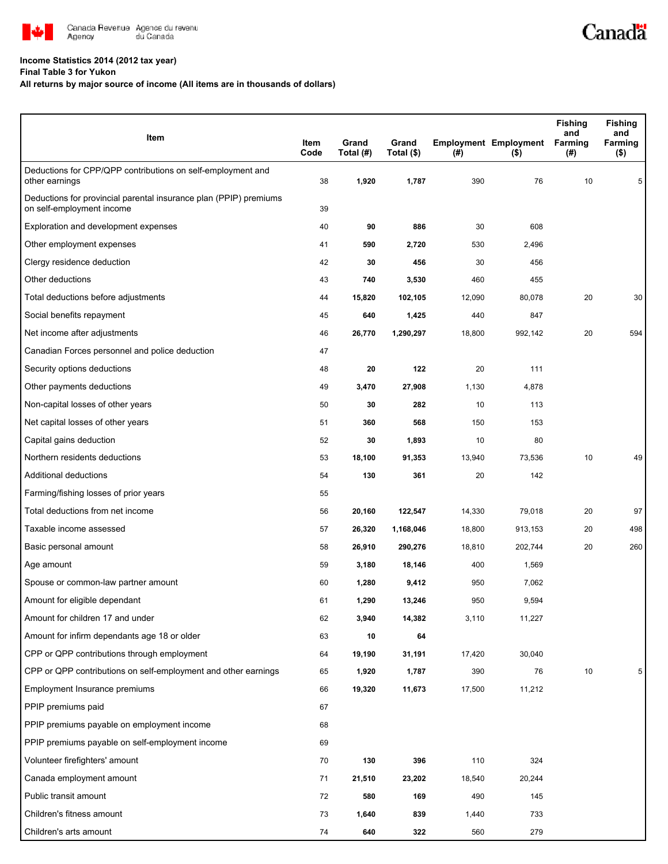

## **Income Statistics 2014 (2012 tax year)**

**Final Table 3 for Yukon**

## **All returns by major source of income (All items are in thousands of dollars)**

| Item                                                                                           | Item<br>Code | Grand<br>Total (#) | Grand<br>Total (\$) | (# )   | <b>Employment Employment</b><br>$($ \$) | Fishing<br>and<br>Farming<br>(#) | <b>Fishing</b><br>and<br>Farming<br>$($ \$) |
|------------------------------------------------------------------------------------------------|--------------|--------------------|---------------------|--------|-----------------------------------------|----------------------------------|---------------------------------------------|
| Deductions for CPP/QPP contributions on self-employment and<br>other earnings                  | 38           | 1,920              | 1,787               | 390    | 76                                      | 10                               | 5                                           |
| Deductions for provincial parental insurance plan (PPIP) premiums<br>on self-employment income | 39           |                    |                     |        |                                         |                                  |                                             |
| Exploration and development expenses                                                           | 40           | 90                 | 886                 | 30     | 608                                     |                                  |                                             |
| Other employment expenses                                                                      | 41           | 590                | 2,720               | 530    | 2,496                                   |                                  |                                             |
| Clergy residence deduction                                                                     | 42           | 30                 | 456                 | 30     | 456                                     |                                  |                                             |
| Other deductions                                                                               | 43           | 740                | 3,530               | 460    | 455                                     |                                  |                                             |
| Total deductions before adjustments                                                            | 44           | 15,820             | 102,105             | 12,090 | 80,078                                  | 20                               | 30                                          |
| Social benefits repayment                                                                      | 45           | 640                | 1,425               | 440    | 847                                     |                                  |                                             |
| Net income after adjustments                                                                   | 46           | 26,770             | 1,290,297           | 18,800 | 992,142                                 | 20                               | 594                                         |
| Canadian Forces personnel and police deduction                                                 | 47           |                    |                     |        |                                         |                                  |                                             |
| Security options deductions                                                                    | 48           | 20                 | 122                 | 20     | 111                                     |                                  |                                             |
| Other payments deductions                                                                      | 49           | 3,470              | 27,908              | 1,130  | 4,878                                   |                                  |                                             |
| Non-capital losses of other years                                                              | 50           | 30                 | 282                 | 10     | 113                                     |                                  |                                             |
| Net capital losses of other years                                                              | 51           | 360                | 568                 | 150    | 153                                     |                                  |                                             |
| Capital gains deduction                                                                        | 52           | 30                 | 1,893               | 10     | 80                                      |                                  |                                             |
| Northern residents deductions                                                                  | 53           | 18,100             | 91,353              | 13,940 | 73,536                                  | 10                               | 49                                          |
| Additional deductions                                                                          | 54           | 130                | 361                 | 20     | 142                                     |                                  |                                             |
| Farming/fishing losses of prior years                                                          | 55           |                    |                     |        |                                         |                                  |                                             |
| Total deductions from net income                                                               | 56           | 20,160             | 122,547             | 14,330 | 79,018                                  | 20                               | 97                                          |
| Taxable income assessed                                                                        | 57           | 26,320             | 1,168,046           | 18,800 | 913,153                                 | 20                               | 498                                         |
| Basic personal amount                                                                          | 58           | 26,910             | 290,276             | 18,810 | 202,744                                 | 20                               | 260                                         |
| Age amount                                                                                     | 59           | 3,180              | 18,146              | 400    | 1,569                                   |                                  |                                             |
| Spouse or common-law partner amount                                                            | 60           | 1,280              | 9,412               | 950    | 7,062                                   |                                  |                                             |
| Amount for eligible dependant                                                                  | 61           | 1,290              | 13,246              | 950    | 9,594                                   |                                  |                                             |
| Amount for children 17 and under                                                               | 62           | 3,940              | 14,382              | 3,110  | 11,227                                  |                                  |                                             |
| Amount for infirm dependants age 18 or older                                                   | 63           | 10                 | 64                  |        |                                         |                                  |                                             |
| CPP or QPP contributions through employment                                                    | 64           | 19,190             | 31,191              | 17,420 | 30,040                                  |                                  |                                             |
| CPP or QPP contributions on self-employment and other earnings                                 | 65           | 1,920              | 1,787               | 390    | 76                                      | $10\,$                           | 5                                           |
| Employment Insurance premiums                                                                  | 66           | 19,320             | 11,673              | 17,500 | 11,212                                  |                                  |                                             |
| PPIP premiums paid                                                                             | 67           |                    |                     |        |                                         |                                  |                                             |
| PPIP premiums payable on employment income                                                     | 68           |                    |                     |        |                                         |                                  |                                             |
| PPIP premiums payable on self-employment income                                                | 69           |                    |                     |        |                                         |                                  |                                             |
| Volunteer firefighters' amount                                                                 | 70           | 130                | 396                 | 110    | 324                                     |                                  |                                             |
| Canada employment amount                                                                       | 71           | 21,510             | 23,202              | 18,540 | 20,244                                  |                                  |                                             |
| Public transit amount                                                                          | 72           | 580                | 169                 | 490    | 145                                     |                                  |                                             |
| Children's fitness amount                                                                      | 73           | 1,640              | 839                 | 1,440  | 733                                     |                                  |                                             |
| Children's arts amount                                                                         | 74           | 640                | 322                 | 560    | 279                                     |                                  |                                             |

Canadä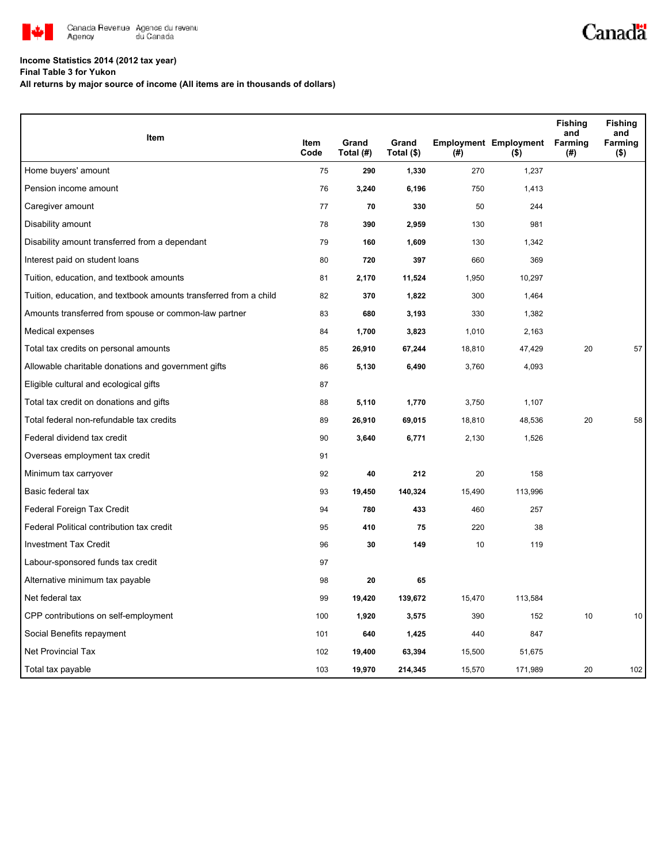

## **Income Statistics 2014 (2012 tax year)**

**Final Table 3 for Yukon**

**All returns by major source of income (All items are in thousands of dollars)**

|                                                                   |              |                    |                     |        |                                         | <b>Fishing</b><br>and | <b>Fishing</b><br>and |
|-------------------------------------------------------------------|--------------|--------------------|---------------------|--------|-----------------------------------------|-----------------------|-----------------------|
| <b>Item</b>                                                       | Item<br>Code | Grand<br>Total (#) | Grand<br>Total (\$) | (# )   | <b>Employment Employment</b><br>$($ \$) | <b>Farming</b><br>(#) | Farming<br>(\$)       |
| Home buyers' amount                                               | 75           | 290                | 1,330               | 270    | 1,237                                   |                       |                       |
| Pension income amount                                             | 76           | 3,240              | 6,196               | 750    | 1,413                                   |                       |                       |
| Caregiver amount                                                  | 77           | 70                 | 330                 | 50     | 244                                     |                       |                       |
| Disability amount                                                 | 78           | 390                | 2,959               | 130    | 981                                     |                       |                       |
| Disability amount transferred from a dependant                    | 79           | 160                | 1,609               | 130    | 1,342                                   |                       |                       |
| Interest paid on student loans                                    | 80           | 720                | 397                 | 660    | 369                                     |                       |                       |
| Tuition, education, and textbook amounts                          | 81           | 2,170              | 11,524              | 1,950  | 10,297                                  |                       |                       |
| Tuition, education, and textbook amounts transferred from a child | 82           | 370                | 1,822               | 300    | 1,464                                   |                       |                       |
| Amounts transferred from spouse or common-law partner             | 83           | 680                | 3,193               | 330    | 1,382                                   |                       |                       |
| Medical expenses                                                  | 84           | 1,700              | 3,823               | 1,010  | 2,163                                   |                       |                       |
| Total tax credits on personal amounts                             | 85           | 26,910             | 67,244              | 18,810 | 47,429                                  | 20                    | 57                    |
| Allowable charitable donations and government gifts               | 86           | 5,130              | 6,490               | 3,760  | 4,093                                   |                       |                       |
| Eligible cultural and ecological gifts                            | 87           |                    |                     |        |                                         |                       |                       |
| Total tax credit on donations and gifts                           | 88           | 5,110              | 1,770               | 3,750  | 1,107                                   |                       |                       |
| Total federal non-refundable tax credits                          | 89           | 26,910             | 69,015              | 18,810 | 48,536                                  | 20                    | 58                    |
| Federal dividend tax credit                                       | 90           | 3,640              | 6,771               | 2,130  | 1,526                                   |                       |                       |
| Overseas employment tax credit                                    | 91           |                    |                     |        |                                         |                       |                       |
| Minimum tax carryover                                             | 92           | 40                 | 212                 | 20     | 158                                     |                       |                       |
| Basic federal tax                                                 | 93           | 19,450             | 140,324             | 15,490 | 113,996                                 |                       |                       |
| Federal Foreign Tax Credit                                        | 94           | 780                | 433                 | 460    | 257                                     |                       |                       |
| Federal Political contribution tax credit                         | 95           | 410                | 75                  | 220    | 38                                      |                       |                       |
| <b>Investment Tax Credit</b>                                      | 96           | 30                 | 149                 | 10     | 119                                     |                       |                       |
| Labour-sponsored funds tax credit                                 | 97           |                    |                     |        |                                         |                       |                       |
| Alternative minimum tax payable                                   | 98           | 20                 | 65                  |        |                                         |                       |                       |
| Net federal tax                                                   | 99           | 19,420             | 139,672             | 15,470 | 113,584                                 |                       |                       |
| CPP contributions on self-employment                              | 100          | 1,920              | 3,575               | 390    | 152                                     | 10                    | 10                    |
| Social Benefits repayment                                         | 101          | 640                | 1,425               | 440    | 847                                     |                       |                       |
| Net Provincial Tax                                                | 102          | 19,400             | 63,394              | 15,500 | 51,675                                  |                       |                       |
| Total tax payable                                                 | 103          | 19,970             | 214,345             | 15,570 | 171,989                                 | 20                    | 102                   |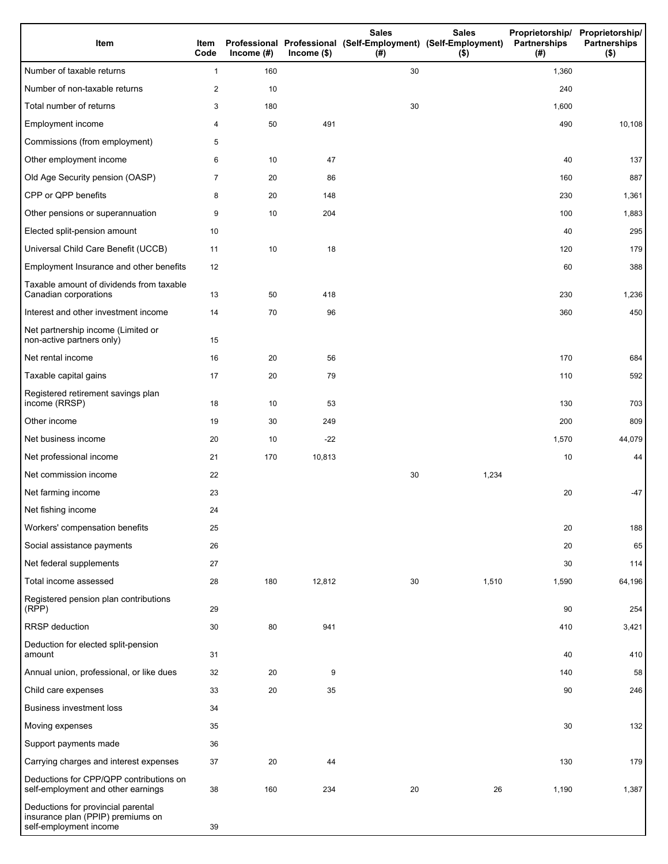| Item                                                                                              | Item<br>Code   | Income $(\#)$ | $Income$ (\$) | <b>Sales</b><br>Professional Professional (Self-Employment) (Self-Employment)<br>(# ) | <b>Sales</b><br>$($ \$) | Proprietorship/ Proprietorship/<br>Partnerships<br>(#) | <b>Partnerships</b><br>$($ \$) |
|---------------------------------------------------------------------------------------------------|----------------|---------------|---------------|---------------------------------------------------------------------------------------|-------------------------|--------------------------------------------------------|--------------------------------|
| Number of taxable returns                                                                         | 1              | 160           |               | 30                                                                                    |                         | 1,360                                                  |                                |
| Number of non-taxable returns                                                                     | $\overline{a}$ | 10            |               |                                                                                       |                         | 240                                                    |                                |
| Total number of returns                                                                           | 3              | 180           |               | 30                                                                                    |                         | 1,600                                                  |                                |
| Employment income                                                                                 | 4              | 50            | 491           |                                                                                       |                         | 490                                                    | 10, 108                        |
| Commissions (from employment)                                                                     | 5              |               |               |                                                                                       |                         |                                                        |                                |
| Other employment income                                                                           | 6              | 10            | 47            |                                                                                       |                         | 40                                                     | 137                            |
| Old Age Security pension (OASP)                                                                   | 7              | 20            | 86            |                                                                                       |                         | 160                                                    | 887                            |
| CPP or QPP benefits                                                                               | 8              | 20            | 148           |                                                                                       |                         | 230                                                    | 1,361                          |
| Other pensions or superannuation                                                                  | 9              | 10            | 204           |                                                                                       |                         | 100                                                    | 1,883                          |
| Elected split-pension amount                                                                      | 10             |               |               |                                                                                       |                         | 40                                                     | 295                            |
| Universal Child Care Benefit (UCCB)                                                               | 11             | 10            | 18            |                                                                                       |                         | 120                                                    | 179                            |
| Employment Insurance and other benefits                                                           | 12             |               |               |                                                                                       |                         | 60                                                     | 388                            |
| Taxable amount of dividends from taxable<br>Canadian corporations                                 | 13             | 50            | 418           |                                                                                       |                         | 230                                                    | 1,236                          |
| Interest and other investment income                                                              | 14             | 70            | 96            |                                                                                       |                         | 360                                                    | 450                            |
| Net partnership income (Limited or<br>non-active partners only)                                   | 15             |               |               |                                                                                       |                         |                                                        |                                |
| Net rental income                                                                                 | 16             | 20            | 56            |                                                                                       |                         | 170                                                    | 684                            |
| Taxable capital gains                                                                             | 17             | 20            | 79            |                                                                                       |                         | 110                                                    | 592                            |
| Registered retirement savings plan<br>income (RRSP)                                               | 18             | 10            | 53            |                                                                                       |                         | 130                                                    | 703                            |
| Other income                                                                                      | 19             | 30            | 249           |                                                                                       |                         | 200                                                    | 809                            |
| Net business income                                                                               | 20             | 10            | $-22$         |                                                                                       |                         | 1,570                                                  | 44,079                         |
| Net professional income                                                                           | 21             | 170           | 10,813        |                                                                                       |                         | 10                                                     | 44                             |
| Net commission income                                                                             | 22             |               |               | 30                                                                                    | 1,234                   |                                                        |                                |
| Net farming income                                                                                | 23             |               |               |                                                                                       |                         | 20                                                     | $-47$                          |
| Net fishing income                                                                                | 24             |               |               |                                                                                       |                         |                                                        |                                |
| Workers' compensation benefits                                                                    | 25             |               |               |                                                                                       |                         | 20                                                     | 188                            |
| Social assistance payments                                                                        | 26             |               |               |                                                                                       |                         | 20                                                     | 65                             |
| Net federal supplements                                                                           | 27             |               |               |                                                                                       |                         | 30                                                     | 114                            |
| Total income assessed                                                                             | 28             | 180           | 12,812        | 30                                                                                    | 1,510                   | 1,590                                                  | 64,196                         |
| Registered pension plan contributions<br>(RPP)                                                    | 29             |               |               |                                                                                       |                         | 90                                                     | 254                            |
| <b>RRSP</b> deduction                                                                             | 30             | 80            | 941           |                                                                                       |                         | 410                                                    | 3,421                          |
| Deduction for elected split-pension<br>amount                                                     | 31             |               |               |                                                                                       |                         | 40                                                     | 410                            |
| Annual union, professional, or like dues                                                          | 32             | 20            | 9             |                                                                                       |                         | 140                                                    | 58                             |
| Child care expenses                                                                               | 33             | 20            | 35            |                                                                                       |                         | 90                                                     | 246                            |
| <b>Business investment loss</b>                                                                   | 34             |               |               |                                                                                       |                         |                                                        |                                |
| Moving expenses                                                                                   | 35             |               |               |                                                                                       |                         | 30                                                     | 132                            |
| Support payments made                                                                             | 36             |               |               |                                                                                       |                         |                                                        |                                |
| Carrying charges and interest expenses                                                            | 37             | 20            | 44            |                                                                                       |                         | 130                                                    | 179                            |
| Deductions for CPP/QPP contributions on<br>self-employment and other earnings                     | 38             | 160           | 234           | 20                                                                                    | 26                      | 1,190                                                  | 1,387                          |
| Deductions for provincial parental<br>insurance plan (PPIP) premiums on<br>self-employment income | 39             |               |               |                                                                                       |                         |                                                        |                                |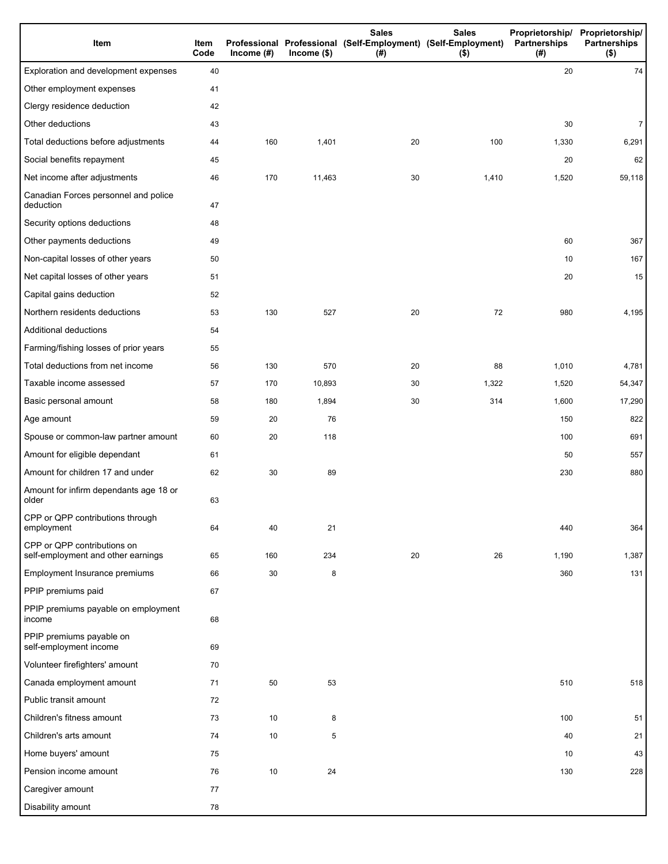| Item                                                              | Item<br>Code | Income $(\#)$ | $Income$ (\$) | <b>Sales</b><br>Professional Professional (Self-Employment) (Self-Employment)<br>(#) | <b>Sales</b><br>$($ \$) | Partnerships<br>(# ) | Proprietorship/ Proprietorship/<br><b>Partnerships</b><br>$($ \$) |
|-------------------------------------------------------------------|--------------|---------------|---------------|--------------------------------------------------------------------------------------|-------------------------|----------------------|-------------------------------------------------------------------|
| Exploration and development expenses                              | 40           |               |               |                                                                                      |                         | 20                   | 74                                                                |
| Other employment expenses                                         | 41           |               |               |                                                                                      |                         |                      |                                                                   |
| Clergy residence deduction                                        | 42           |               |               |                                                                                      |                         |                      |                                                                   |
| Other deductions                                                  | 43           |               |               |                                                                                      |                         | 30                   | $\overline{7}$                                                    |
| Total deductions before adjustments                               | 44           | 160           | 1,401         | 20                                                                                   | 100                     | 1,330                | 6,291                                                             |
| Social benefits repayment                                         | 45           |               |               |                                                                                      |                         | 20                   | 62                                                                |
| Net income after adjustments                                      | 46           | 170           | 11,463        | 30                                                                                   | 1,410                   | 1,520                | 59,118                                                            |
| Canadian Forces personnel and police<br>deduction                 | 47           |               |               |                                                                                      |                         |                      |                                                                   |
| Security options deductions                                       | 48           |               |               |                                                                                      |                         |                      |                                                                   |
| Other payments deductions                                         | 49           |               |               |                                                                                      |                         | 60                   | 367                                                               |
| Non-capital losses of other years                                 | 50           |               |               |                                                                                      |                         | 10                   | 167                                                               |
| Net capital losses of other years                                 | 51           |               |               |                                                                                      |                         | 20                   | 15                                                                |
| Capital gains deduction                                           | 52           |               |               |                                                                                      |                         |                      |                                                                   |
| Northern residents deductions                                     | 53           | 130           | 527           | 20                                                                                   | 72                      | 980                  | 4,195                                                             |
| Additional deductions                                             | 54           |               |               |                                                                                      |                         |                      |                                                                   |
| Farming/fishing losses of prior years                             | 55           |               |               |                                                                                      |                         |                      |                                                                   |
| Total deductions from net income                                  | 56           | 130           | 570           | 20                                                                                   | 88                      | 1,010                | 4,781                                                             |
| Taxable income assessed                                           | 57           | 170           | 10,893        | 30                                                                                   | 1,322                   | 1,520                | 54,347                                                            |
| Basic personal amount                                             | 58           | 180           | 1,894         | 30                                                                                   | 314                     | 1,600                | 17,290                                                            |
| Age amount                                                        | 59           | 20            | 76            |                                                                                      |                         | 150                  | 822                                                               |
| Spouse or common-law partner amount                               | 60           | 20            | 118           |                                                                                      |                         | 100                  | 691                                                               |
| Amount for eligible dependant                                     | 61           |               |               |                                                                                      |                         | 50                   | 557                                                               |
| Amount for children 17 and under                                  | 62           | 30            | 89            |                                                                                      |                         | 230                  | 880                                                               |
| Amount for infirm dependants age 18 or<br>older                   | 63           |               |               |                                                                                      |                         |                      |                                                                   |
| CPP or QPP contributions through<br>employment                    | 64           | 40            | 21            |                                                                                      |                         | 440                  | 364                                                               |
| CPP or QPP contributions on<br>self-employment and other earnings | 65           | 160           | 234           | 20                                                                                   | 26                      | 1,190                | 1,387                                                             |
| Employment Insurance premiums                                     | 66           | 30            | 8             |                                                                                      |                         | 360                  | 131                                                               |
| PPIP premiums paid                                                | 67           |               |               |                                                                                      |                         |                      |                                                                   |
| PPIP premiums payable on employment<br>income                     | 68           |               |               |                                                                                      |                         |                      |                                                                   |
| PPIP premiums payable on<br>self-employment income                | 69           |               |               |                                                                                      |                         |                      |                                                                   |
| Volunteer firefighters' amount                                    | 70           |               |               |                                                                                      |                         |                      |                                                                   |
| Canada employment amount                                          | 71           | 50            | 53            |                                                                                      |                         | 510                  | 518                                                               |
| Public transit amount                                             | 72           |               |               |                                                                                      |                         |                      |                                                                   |
| Children's fitness amount                                         | 73           | 10            | 8             |                                                                                      |                         | 100                  | 51                                                                |
| Children's arts amount                                            | 74           | 10            | 5             |                                                                                      |                         | 40                   | 21                                                                |
| Home buyers' amount                                               | 75           |               |               |                                                                                      |                         | 10                   | 43                                                                |
| Pension income amount                                             | 76           | 10            | 24            |                                                                                      |                         | 130                  | 228                                                               |
| Caregiver amount                                                  | 77           |               |               |                                                                                      |                         |                      |                                                                   |
| Disability amount                                                 | 78           |               |               |                                                                                      |                         |                      |                                                                   |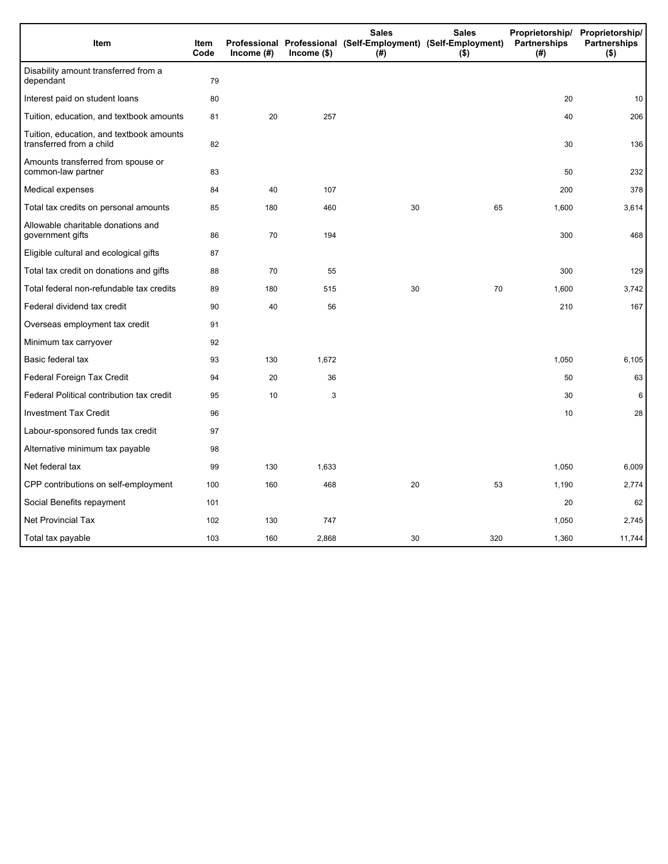| Item                                                                 | Item<br>Code | Income (#) | $lncome$ (\$) | <b>Sales</b><br>Professional Professional (Self-Employment) (Self-Employment)<br>(#) | <b>Sales</b><br>$($ \$) | Partnerships<br>(#) | Proprietorship/ Proprietorship/<br><b>Partnerships</b><br>$($ \$) |
|----------------------------------------------------------------------|--------------|------------|---------------|--------------------------------------------------------------------------------------|-------------------------|---------------------|-------------------------------------------------------------------|
| Disability amount transferred from a<br>dependant                    | 79           |            |               |                                                                                      |                         |                     |                                                                   |
| Interest paid on student loans                                       | 80           |            |               |                                                                                      |                         | 20                  | 10                                                                |
| Tuition, education, and textbook amounts                             | 81           | 20         | 257           |                                                                                      |                         | 40                  | 206                                                               |
| Tuition, education, and textbook amounts<br>transferred from a child | 82           |            |               |                                                                                      |                         | 30                  | 136                                                               |
| Amounts transferred from spouse or<br>common-law partner             | 83           |            |               |                                                                                      |                         | 50                  | 232                                                               |
| Medical expenses                                                     | 84           | 40         | 107           |                                                                                      |                         | 200                 | 378                                                               |
| Total tax credits on personal amounts                                | 85           | 180        | 460           | 30                                                                                   | 65                      | 1,600               | 3,614                                                             |
| Allowable charitable donations and<br>government gifts               | 86           | 70         | 194           |                                                                                      |                         | 300                 | 468                                                               |
| Eligible cultural and ecological gifts                               | 87           |            |               |                                                                                      |                         |                     |                                                                   |
| Total tax credit on donations and gifts                              | 88           | 70         | 55            |                                                                                      |                         | 300                 | 129                                                               |
| Total federal non-refundable tax credits                             | 89           | 180        | 515           | 30                                                                                   | 70                      | 1,600               | 3,742                                                             |
| Federal dividend tax credit                                          | 90           | 40         | 56            |                                                                                      |                         | 210                 | 167                                                               |
| Overseas employment tax credit                                       | 91           |            |               |                                                                                      |                         |                     |                                                                   |
| Minimum tax carryover                                                | 92           |            |               |                                                                                      |                         |                     |                                                                   |
| Basic federal tax                                                    | 93           | 130        | 1,672         |                                                                                      |                         | 1,050               | 6,105                                                             |
| Federal Foreign Tax Credit                                           | 94           | 20         | 36            |                                                                                      |                         | 50                  | 63                                                                |
| Federal Political contribution tax credit                            | 95           | 10         | 3             |                                                                                      |                         | 30                  | 6                                                                 |
| <b>Investment Tax Credit</b>                                         | 96           |            |               |                                                                                      |                         | 10                  | 28                                                                |
| Labour-sponsored funds tax credit                                    | 97           |            |               |                                                                                      |                         |                     |                                                                   |
| Alternative minimum tax payable                                      | 98           |            |               |                                                                                      |                         |                     |                                                                   |
| Net federal tax                                                      | 99           | 130        | 1,633         |                                                                                      |                         | 1,050               | 6,009                                                             |
| CPP contributions on self-employment                                 | 100          | 160        | 468           | 20                                                                                   | 53                      | 1,190               | 2,774                                                             |
| Social Benefits repayment                                            | 101          |            |               |                                                                                      |                         | 20                  | 62                                                                |
| <b>Net Provincial Tax</b>                                            | 102          | 130        | 747           |                                                                                      |                         | 1,050               | 2,745                                                             |
| Total tax payable                                                    | 103          | 160        | 2,868         | 30                                                                                   | 320                     | 1,360               | 11,744                                                            |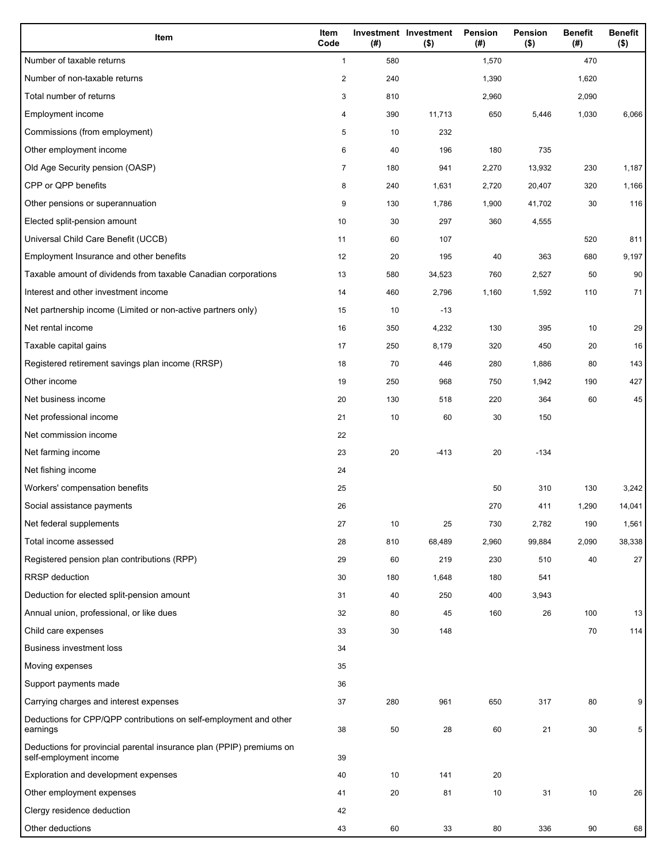| Item                                                                                           | Item<br>Code   | (#) | Investment Investment<br>$($ \$) | Pension<br>(#) | <b>Pension</b><br>$($ \$) | <b>Benefit</b><br>(#) | <b>Benefit</b><br>$($ \$) |
|------------------------------------------------------------------------------------------------|----------------|-----|----------------------------------|----------------|---------------------------|-----------------------|---------------------------|
| Number of taxable returns                                                                      | $\mathbf{1}$   | 580 |                                  | 1,570          |                           | 470                   |                           |
| Number of non-taxable returns                                                                  | $\overline{2}$ | 240 |                                  | 1,390          |                           | 1,620                 |                           |
| Total number of returns                                                                        | 3              | 810 |                                  | 2,960          |                           | 2,090                 |                           |
| Employment income                                                                              | 4              | 390 | 11,713                           | 650            | 5,446                     | 1,030                 | 6,066                     |
| Commissions (from employment)                                                                  | 5              | 10  | 232                              |                |                           |                       |                           |
| Other employment income                                                                        | 6              | 40  | 196                              | 180            | 735                       |                       |                           |
| Old Age Security pension (OASP)                                                                | $\overline{7}$ | 180 | 941                              | 2,270          | 13,932                    | 230                   | 1,187                     |
| CPP or QPP benefits                                                                            | 8              | 240 | 1,631                            | 2,720          | 20,407                    | 320                   | 1,166                     |
| Other pensions or superannuation                                                               | 9              | 130 | 1,786                            | 1,900          | 41,702                    | 30                    | 116                       |
| Elected split-pension amount                                                                   | 10             | 30  | 297                              | 360            | 4,555                     |                       |                           |
| Universal Child Care Benefit (UCCB)                                                            | 11             | 60  | 107                              |                |                           | 520                   | 811                       |
| Employment Insurance and other benefits                                                        | 12             | 20  | 195                              | 40             | 363                       | 680                   | 9,197                     |
| Taxable amount of dividends from taxable Canadian corporations                                 | 13             | 580 | 34,523                           | 760            | 2,527                     | 50                    | 90                        |
| Interest and other investment income                                                           | 14             | 460 | 2,796                            | 1,160          | 1,592                     | 110                   | 71                        |
| Net partnership income (Limited or non-active partners only)                                   | 15             | 10  | $-13$                            |                |                           |                       |                           |
| Net rental income                                                                              | 16             | 350 | 4,232                            | 130            | 395                       | 10                    | 29                        |
| Taxable capital gains                                                                          | 17             | 250 | 8,179                            | 320            | 450                       | 20                    | 16                        |
| Registered retirement savings plan income (RRSP)                                               | 18             | 70  | 446                              | 280            | 1,886                     | 80                    | 143                       |
| Other income                                                                                   | 19             | 250 | 968                              | 750            | 1,942                     | 190                   | 427                       |
| Net business income                                                                            | 20             | 130 | 518                              | 220            | 364                       | 60                    | 45                        |
| Net professional income                                                                        | 21             | 10  | 60                               | 30             | 150                       |                       |                           |
| Net commission income                                                                          | 22             |     |                                  |                |                           |                       |                           |
| Net farming income                                                                             | 23             | 20  | $-413$                           | 20             | $-134$                    |                       |                           |
| Net fishing income                                                                             | 24             |     |                                  |                |                           |                       |                           |
| Workers' compensation benefits                                                                 | 25             |     |                                  | 50             | 310                       | 130                   | 3,242                     |
| Social assistance payments                                                                     | 26             |     |                                  | 270            | 411                       | 1,290                 | 14,041                    |
| Net federal supplements                                                                        | 27             | 10  | 25                               | 730            | 2,782                     | 190                   | 1,561                     |
| Total income assessed                                                                          | 28             | 810 | 68,489                           | 2,960          | 99,884                    | 2,090                 | 38,338                    |
| Registered pension plan contributions (RPP)                                                    | 29             | 60  | 219                              | 230            | 510                       | 40                    | 27                        |
| RRSP deduction                                                                                 | 30             | 180 | 1,648                            | 180            | 541                       |                       |                           |
| Deduction for elected split-pension amount                                                     | 31             | 40  | 250                              | 400            | 3,943                     |                       |                           |
| Annual union, professional, or like dues                                                       | 32             | 80  | 45                               | 160            | 26                        | 100                   | 13                        |
| Child care expenses                                                                            | 33             | 30  | 148                              |                |                           | 70                    | 114                       |
| <b>Business investment loss</b>                                                                | 34             |     |                                  |                |                           |                       |                           |
| Moving expenses                                                                                | 35             |     |                                  |                |                           |                       |                           |
| Support payments made                                                                          | 36             |     |                                  |                |                           |                       |                           |
| Carrying charges and interest expenses                                                         | 37             | 280 | 961                              | 650            | 317                       | 80                    | 9                         |
| Deductions for CPP/QPP contributions on self-employment and other                              |                |     |                                  |                |                           |                       |                           |
| earnings                                                                                       | 38             | 50  | 28                               | 60             | 21                        | 30                    | 5                         |
| Deductions for provincial parental insurance plan (PPIP) premiums on<br>self-employment income | 39             |     |                                  |                |                           |                       |                           |
| Exploration and development expenses                                                           | 40             | 10  | 141                              | 20             |                           |                       |                           |
| Other employment expenses                                                                      | 41             | 20  | 81                               | 10             | 31                        | 10                    | 26                        |
| Clergy residence deduction                                                                     | 42             |     |                                  |                |                           |                       |                           |
| Other deductions                                                                               | 43             | 60  | 33                               | 80             | 336                       | 90                    | 68                        |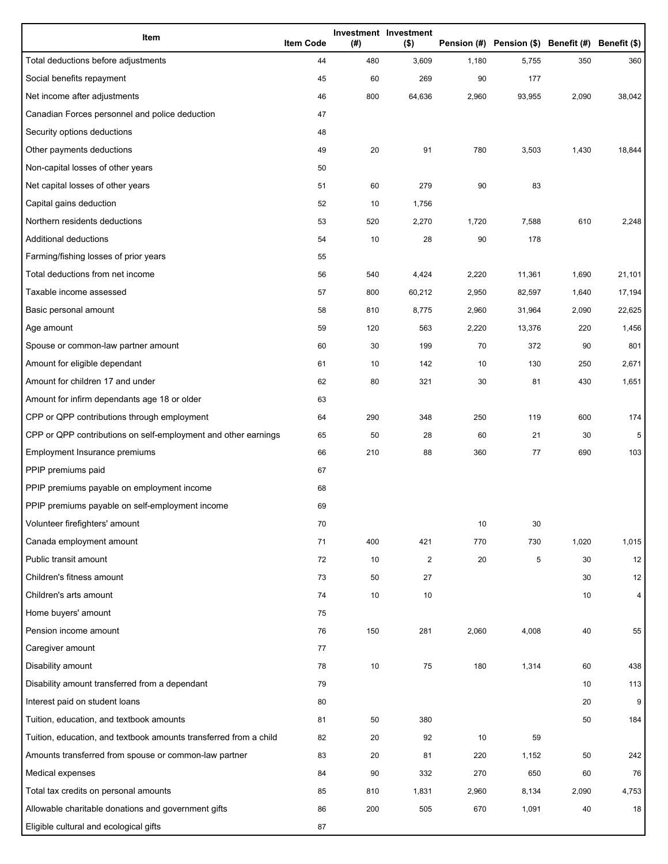| Item                                                              | <b>Item Code</b> | (#) | Investment Investment<br>$($ \$) |       | Pension (#) Pension (\$) Benefit (#) Benefit (\$) |       |        |
|-------------------------------------------------------------------|------------------|-----|----------------------------------|-------|---------------------------------------------------|-------|--------|
| Total deductions before adjustments                               | 44               | 480 | 3,609                            | 1,180 | 5,755                                             | 350   | 360    |
| Social benefits repayment                                         | 45               | 60  | 269                              | 90    | 177                                               |       |        |
| Net income after adjustments                                      | 46               | 800 | 64,636                           | 2,960 | 93,955                                            | 2,090 | 38,042 |
| Canadian Forces personnel and police deduction                    | 47               |     |                                  |       |                                                   |       |        |
| Security options deductions                                       | 48               |     |                                  |       |                                                   |       |        |
| Other payments deductions                                         | 49               | 20  | 91                               | 780   | 3,503                                             | 1,430 | 18,844 |
| Non-capital losses of other years                                 | 50               |     |                                  |       |                                                   |       |        |
| Net capital losses of other years                                 | 51               | 60  | 279                              | 90    | 83                                                |       |        |
| Capital gains deduction                                           | 52               | 10  | 1,756                            |       |                                                   |       |        |
| Northern residents deductions                                     | 53               | 520 | 2,270                            | 1,720 | 7,588                                             | 610   | 2,248  |
| Additional deductions                                             | 54               | 10  | 28                               | 90    | 178                                               |       |        |
| Farming/fishing losses of prior years                             | 55               |     |                                  |       |                                                   |       |        |
| Total deductions from net income                                  | 56               | 540 | 4,424                            | 2,220 | 11,361                                            | 1,690 | 21,101 |
| Taxable income assessed                                           | 57               | 800 | 60,212                           | 2,950 | 82,597                                            | 1,640 | 17,194 |
| Basic personal amount                                             | 58               | 810 | 8,775                            | 2,960 | 31,964                                            | 2,090 | 22,625 |
| Age amount                                                        | 59               | 120 | 563                              | 2,220 | 13,376                                            | 220   | 1,456  |
| Spouse or common-law partner amount                               | 60               | 30  | 199                              | 70    | 372                                               | 90    | 801    |
| Amount for eligible dependant                                     | 61               | 10  | 142                              | 10    | 130                                               | 250   | 2,671  |
| Amount for children 17 and under                                  | 62               | 80  | 321                              | 30    | 81                                                | 430   | 1,651  |
| Amount for infirm dependants age 18 or older                      | 63               |     |                                  |       |                                                   |       |        |
| CPP or QPP contributions through employment                       | 64               | 290 | 348                              | 250   | 119                                               | 600   | 174    |
| CPP or QPP contributions on self-employment and other earnings    | 65               | 50  | 28                               | 60    | 21                                                | 30    | 5      |
| Employment Insurance premiums                                     | 66               | 210 | 88                               | 360   | 77                                                | 690   | 103    |
| PPIP premiums paid                                                | 67               |     |                                  |       |                                                   |       |        |
| PPIP premiums payable on employment income                        | 68               |     |                                  |       |                                                   |       |        |
| PPIP premiums payable on self-employment income                   | 69               |     |                                  |       |                                                   |       |        |
| Volunteer firefighters' amount                                    | 70               |     |                                  | 10    | 30                                                |       |        |
| Canada employment amount                                          | 71               | 400 | 421                              | 770   | 730                                               | 1,020 | 1,015  |
| Public transit amount                                             | 72               | 10  | $\overline{\mathbf{c}}$          | 20    | 5                                                 | 30    | 12     |
| Children's fitness amount                                         | 73               | 50  | 27                               |       |                                                   | 30    | 12     |
| Children's arts amount                                            | 74               | 10  | 10                               |       |                                                   | 10    | 4      |
| Home buyers' amount                                               | 75               |     |                                  |       |                                                   |       |        |
| Pension income amount                                             | 76               | 150 | 281                              | 2,060 | 4,008                                             | 40    | 55     |
| Caregiver amount                                                  | 77               |     |                                  |       |                                                   |       |        |
| Disability amount                                                 | 78               | 10  | 75                               | 180   | 1,314                                             | 60    | 438    |
| Disability amount transferred from a dependant                    | 79               |     |                                  |       |                                                   | 10    | 113    |
| Interest paid on student loans                                    | 80               |     |                                  |       |                                                   | 20    | 9      |
| Tuition, education, and textbook amounts                          | 81               | 50  | 380                              |       |                                                   | 50    | 184    |
| Tuition, education, and textbook amounts transferred from a child | 82               | 20  | 92                               | 10    | 59                                                |       |        |
| Amounts transferred from spouse or common-law partner             | 83               | 20  | 81                               | 220   | 1,152                                             | 50    | 242    |
| Medical expenses                                                  | 84               | 90  | 332                              | 270   | 650                                               | 60    | 76     |
| Total tax credits on personal amounts                             | 85               | 810 | 1,831                            | 2,960 | 8,134                                             | 2,090 | 4,753  |
| Allowable charitable donations and government gifts               | 86               | 200 | 505                              | 670   | 1,091                                             | 40    | 18     |
| Eligible cultural and ecological gifts                            | 87               |     |                                  |       |                                                   |       |        |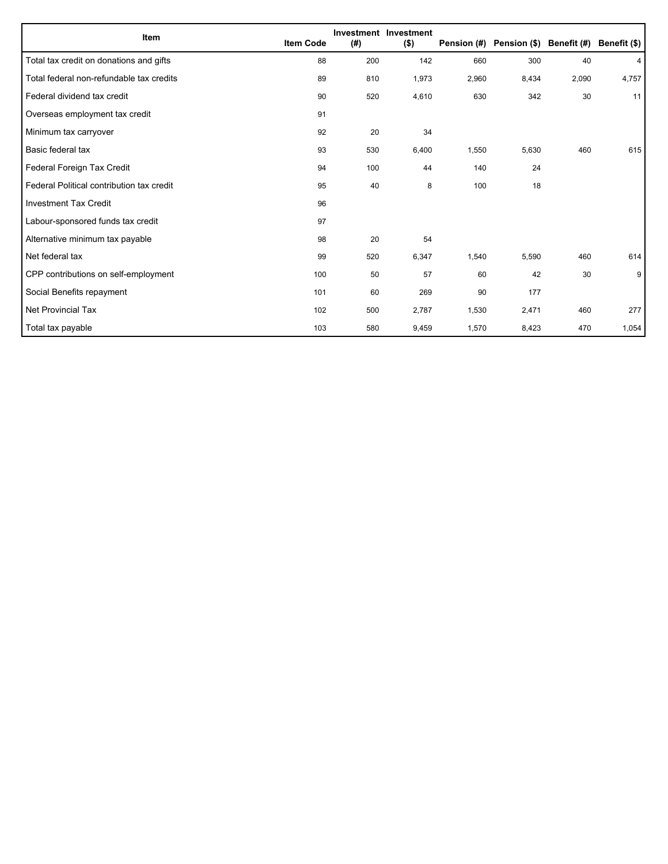| Item                                      | <b>Item Code</b> | (#) | Investment Investment<br>$($ \$) |       | Pension (#) Pension (\$) Benefit (#) |       | Benefit (\$) |
|-------------------------------------------|------------------|-----|----------------------------------|-------|--------------------------------------|-------|--------------|
| Total tax credit on donations and gifts   | 88               | 200 | 142                              | 660   | 300                                  | 40    | 4            |
| Total federal non-refundable tax credits  | 89               | 810 | 1,973                            | 2,960 | 8,434                                | 2,090 | 4,757        |
| Federal dividend tax credit               | 90               | 520 | 4,610                            | 630   | 342                                  | 30    | 11           |
| Overseas employment tax credit            | 91               |     |                                  |       |                                      |       |              |
| Minimum tax carryover                     | 92               | 20  | 34                               |       |                                      |       |              |
| Basic federal tax                         | 93               | 530 | 6,400                            | 1,550 | 5,630                                | 460   | 615          |
| Federal Foreign Tax Credit                | 94               | 100 | 44                               | 140   | 24                                   |       |              |
| Federal Political contribution tax credit | 95               | 40  | 8                                | 100   | 18                                   |       |              |
| <b>Investment Tax Credit</b>              | 96               |     |                                  |       |                                      |       |              |
| Labour-sponsored funds tax credit         | 97               |     |                                  |       |                                      |       |              |
| Alternative minimum tax payable           | 98               | 20  | 54                               |       |                                      |       |              |
| Net federal tax                           | 99               | 520 | 6,347                            | 1,540 | 5,590                                | 460   | 614          |
| CPP contributions on self-employment      | 100              | 50  | 57                               | 60    | 42                                   | 30    | 9            |
| Social Benefits repayment                 | 101              | 60  | 269                              | 90    | 177                                  |       |              |
| <b>Net Provincial Tax</b>                 | 102              | 500 | 2,787                            | 1,530 | 2,471                                | 460   | 277          |
| Total tax payable                         | 103              | 580 | 9,459                            | 1,570 | 8,423                                | 470   | 1,054        |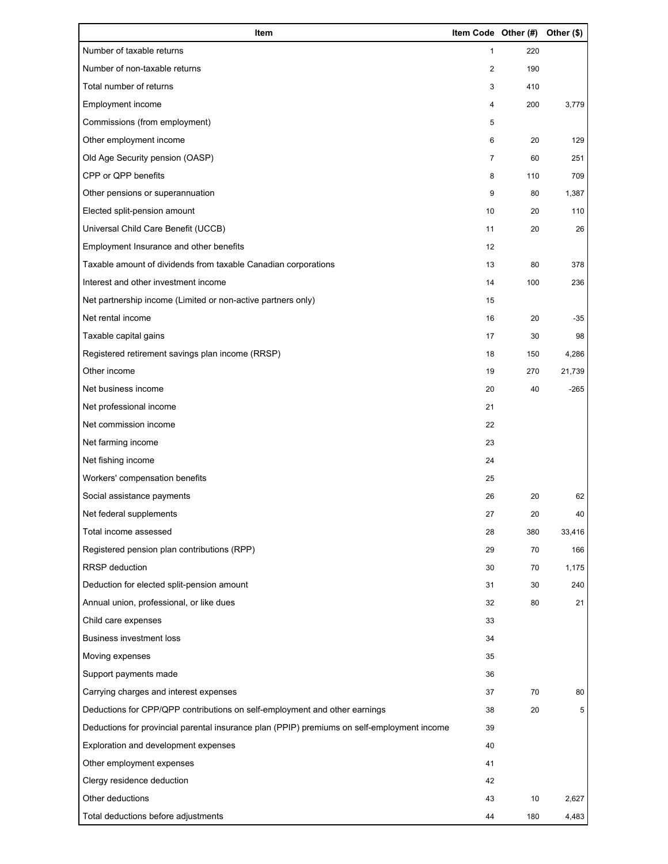| Item                                                                                        | Item Code Other (#) |     | Other (\$) |
|---------------------------------------------------------------------------------------------|---------------------|-----|------------|
| Number of taxable returns                                                                   | $\mathbf{1}$        | 220 |            |
| Number of non-taxable returns                                                               | 2                   | 190 |            |
| Total number of returns                                                                     | 3                   | 410 |            |
| Employment income                                                                           | 4                   | 200 | 3,779      |
| Commissions (from employment)                                                               | 5                   |     |            |
| Other employment income                                                                     | 6                   | 20  | 129        |
| Old Age Security pension (OASP)                                                             | 7                   | 60  | 251        |
| CPP or QPP benefits                                                                         | 8                   | 110 | 709        |
| Other pensions or superannuation                                                            | 9                   | 80  | 1,387      |
| Elected split-pension amount                                                                | 10                  | 20  | 110        |
| Universal Child Care Benefit (UCCB)                                                         | 11                  | 20  | 26         |
| Employment Insurance and other benefits                                                     | 12                  |     |            |
| Taxable amount of dividends from taxable Canadian corporations                              | 13                  | 80  | 378        |
| Interest and other investment income                                                        | 14                  | 100 | 236        |
| Net partnership income (Limited or non-active partners only)                                | 15                  |     |            |
| Net rental income                                                                           | 16                  | 20  | $-35$      |
| Taxable capital gains                                                                       | 17                  | 30  | 98         |
| Registered retirement savings plan income (RRSP)                                            | 18                  | 150 | 4,286      |
| Other income                                                                                | 19                  | 270 | 21,739     |
| Net business income                                                                         | 20                  | 40  | $-265$     |
| Net professional income                                                                     | 21                  |     |            |
| Net commission income                                                                       | 22                  |     |            |
| Net farming income                                                                          | 23                  |     |            |
| Net fishing income                                                                          | 24                  |     |            |
| Workers' compensation benefits                                                              | 25                  |     |            |
| Social assistance payments                                                                  | 26                  | 20  | 62         |
| Net federal supplements                                                                     | 27                  | 20  | 40         |
| Total income assessed                                                                       | 28                  | 380 | 33,416     |
| Registered pension plan contributions (RPP)                                                 | 29                  | 70  | 166        |
| <b>RRSP</b> deduction                                                                       | 30                  | 70  | 1,175      |
| Deduction for elected split-pension amount                                                  | 31                  | 30  | 240        |
| Annual union, professional, or like dues                                                    | 32                  | 80  | 21         |
| Child care expenses                                                                         | 33                  |     |            |
| <b>Business investment loss</b>                                                             | 34                  |     |            |
| Moving expenses                                                                             | 35                  |     |            |
| Support payments made                                                                       | 36                  |     |            |
| Carrying charges and interest expenses                                                      | 37                  | 70  | 80         |
| Deductions for CPP/QPP contributions on self-employment and other earnings                  | 38                  | 20  | 5          |
| Deductions for provincial parental insurance plan (PPIP) premiums on self-employment income | 39                  |     |            |
| Exploration and development expenses                                                        | 40                  |     |            |
| Other employment expenses                                                                   | 41                  |     |            |
| Clergy residence deduction                                                                  | 42                  |     |            |
| Other deductions                                                                            | 43                  | 10  | 2,627      |
| Total deductions before adjustments                                                         | 44                  | 180 | 4,483      |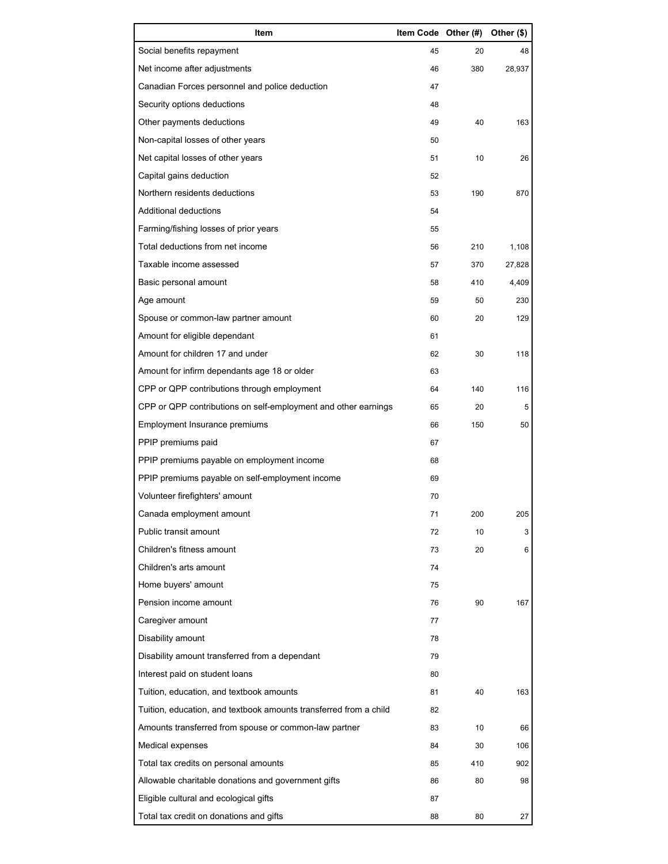| Item                                                              | Item Code Other (#) |     | Other (\$) |
|-------------------------------------------------------------------|---------------------|-----|------------|
| Social benefits repayment                                         | 45                  | 20  | 48         |
| Net income after adjustments                                      | 46                  | 380 | 28,937     |
| Canadian Forces personnel and police deduction                    | 47                  |     |            |
| Security options deductions                                       | 48                  |     |            |
| Other payments deductions                                         | 49                  | 40  | 163        |
| Non-capital losses of other years                                 | 50                  |     |            |
| Net capital losses of other years                                 | 51                  | 10  | 26         |
| Capital gains deduction                                           | 52                  |     |            |
| Northern residents deductions                                     | 53                  | 190 | 870        |
| Additional deductions                                             | 54                  |     |            |
| Farming/fishing losses of prior years                             | 55                  |     |            |
| Total deductions from net income                                  | 56                  | 210 | 1,108      |
| Taxable income assessed                                           | 57                  | 370 | 27,828     |
| Basic personal amount                                             | 58                  | 410 | 4,409      |
| Age amount                                                        | 59                  | 50  | 230        |
| Spouse or common-law partner amount                               | 60                  | 20  | 129        |
| Amount for eligible dependant                                     | 61                  |     |            |
| Amount for children 17 and under                                  | 62                  | 30  | 118        |
| Amount for infirm dependants age 18 or older                      | 63                  |     |            |
| CPP or QPP contributions through employment                       | 64                  | 140 | 116        |
| CPP or QPP contributions on self-employment and other earnings    | 65                  | 20  | 5          |
| Employment Insurance premiums                                     | 66                  | 150 | 50         |
| PPIP premiums paid                                                | 67                  |     |            |
| PPIP premiums payable on employment income                        | 68                  |     |            |
| PPIP premiums payable on self-employment income                   | 69                  |     |            |
| Volunteer firefighters' amount                                    | 70                  |     |            |
| Canada employment amount                                          | 71                  | 200 | 205        |
| Public transit amount                                             | 72                  | 10  | 3          |
| Children's fitness amount                                         | 73                  | 20  | 6          |
| Children's arts amount                                            | 74                  |     |            |
| Home buyers' amount                                               | 75                  |     |            |
| Pension income amount                                             | 76                  | 90  | 167        |
| Caregiver amount                                                  | 77                  |     |            |
| Disability amount                                                 | 78                  |     |            |
| Disability amount transferred from a dependant                    | 79                  |     |            |
| Interest paid on student loans                                    | 80                  |     |            |
| Tuition, education, and textbook amounts                          | 81                  | 40  | 163        |
| Tuition, education, and textbook amounts transferred from a child | 82                  |     |            |
| Amounts transferred from spouse or common-law partner             | 83                  | 10  | 66         |
| Medical expenses                                                  | 84                  | 30  | 106        |
| Total tax credits on personal amounts                             | 85                  | 410 | 902        |
| Allowable charitable donations and government gifts               | 86                  | 80  | 98         |
| Eligible cultural and ecological gifts                            | 87                  |     |            |
| Total tax credit on donations and gifts                           | 88                  | 80  | 27         |